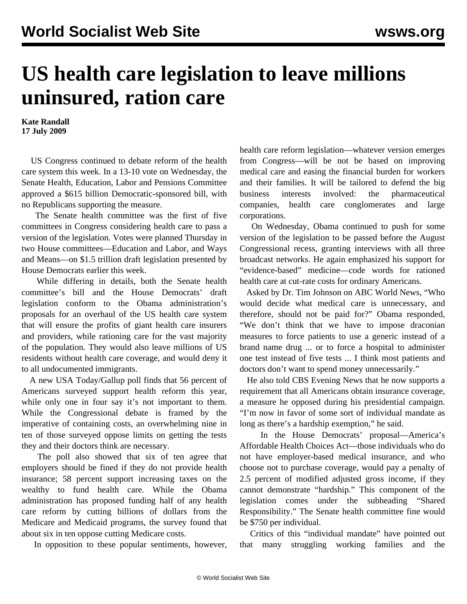## **US health care legislation to leave millions uninsured, ration care**

**Kate Randall 17 July 2009**

 US Congress continued to debate reform of the health care system this week. In a 13-10 vote on Wednesday, the Senate Health, Education, Labor and Pensions Committee approved a \$615 billion Democratic-sponsored bill, with no Republicans supporting the measure.

 The Senate health committee was the first of five committees in Congress considering health care to pass a version of the legislation. Votes were planned Thursday in two House committees—Education and Labor, and Ways and Means—on \$1.5 trillion draft legislation presented by House Democrats earlier this week.

 While differing in details, both the Senate health committee's bill and the House Democrats' draft legislation conform to the Obama administration's proposals for an overhaul of the US health care system that will ensure the profits of giant health care insurers and providers, while rationing care for the vast majority of the population. They would also leave millions of US residents without health care coverage, and would deny it to all undocumented immigrants.

 A new USA Today/Gallup poll finds that 56 percent of Americans surveyed support health reform this year, while only one in four say it's not important to them. While the Congressional debate is framed by the imperative of containing costs, an overwhelming nine in ten of those surveyed oppose limits on getting the tests they and their doctors think are necessary.

 The poll also showed that six of ten agree that employers should be fined if they do not provide health insurance; 58 percent support increasing taxes on the wealthy to fund health care. While the Obama administration has proposed funding half of any health care reform by cutting billions of dollars from the Medicare and Medicaid programs, the survey found that about six in ten oppose cutting Medicare costs.

In opposition to these popular sentiments, however,

health care reform legislation—whatever version emerges from Congress—will be not be based on improving medical care and easing the financial burden for workers and their families. It will be tailored to defend the big business interests involved: the pharmaceutical companies, health care conglomerates and large corporations.

 On Wednesday, Obama continued to push for some version of the legislation to be passed before the August Congressional recess, granting interviews with all three broadcast networks. He again emphasized his support for "evidence-based" medicine—code words for rationed health care at cut-rate costs for ordinary Americans.

 Asked by Dr. Tim Johnson on ABC World News, "Who would decide what medical care is unnecessary, and therefore, should not be paid for?" Obama responded, "We don't think that we have to impose draconian measures to force patients to use a generic instead of a brand name drug ... or to force a hospital to administer one test instead of five tests ... I think most patients and doctors don't want to spend money unnecessarily."

 He also told CBS Evening News that he now supports a requirement that all Americans obtain insurance coverage, a measure he opposed during his presidential campaign. "I'm now in favor of some sort of individual mandate as long as there's a hardship exemption," he said.

 In the House Democrats' proposal—America's Affordable Health Choices Act—those individuals who do not have employer-based medical insurance, and who choose not to purchase coverage, would pay a penalty of 2.5 percent of modified adjusted gross income, if they cannot demonstrate "hardship." This component of the legislation comes under the subheading "Shared Responsibility." The Senate health committee fine would be \$750 per individual.

 Critics of this "individual mandate" have pointed out that many struggling working families and the